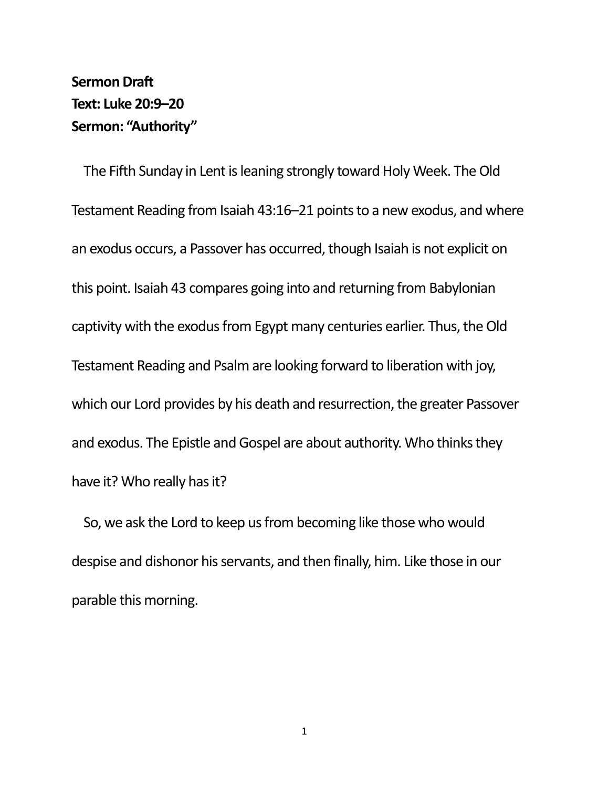## **Sermon Draft Text: Luke 20:9–20 Sermon: "Authority"**

The Fifth Sunday in Lent is leaning strongly toward Holy Week. The Old Testament Reading from Isaiah 43:16–21 points to a new exodus, and where an exodus occurs, a Passover has occurred, though Isaiah is not explicit on this point. Isaiah 43 compares going into and returning from Babylonian captivity with the exodus from Egypt many centuries earlier. Thus, the Old Testament Reading and Psalm are looking forward to liberation with joy, which our Lord provides by his death and resurrection, the greater Passover and exodus. The Epistle and Gospel are about authority. Who thinks they have it? Who really has it?

So, we ask the Lord to keep us from becoming like those who would despise and dishonor his servants, and then finally, him. Like those in our parable this morning.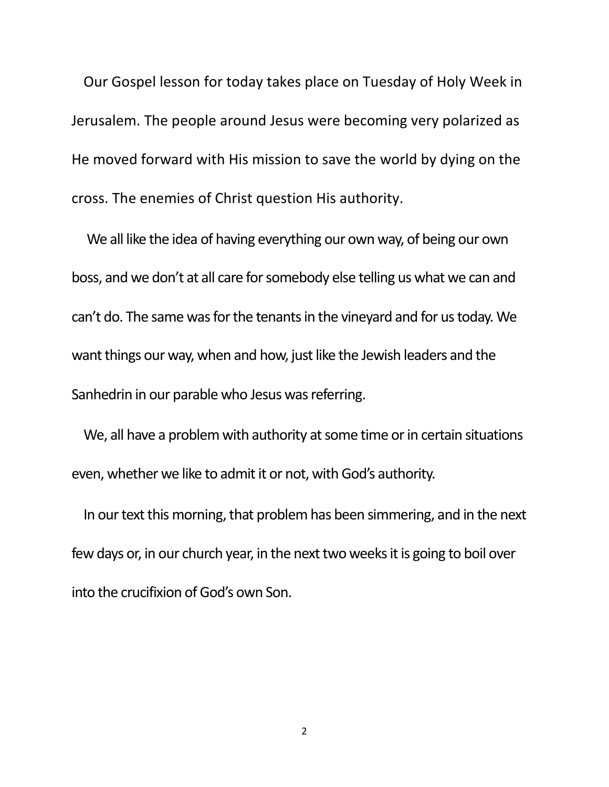Our Gospel lesson for today takes place on Tuesday of Holy Week in Jerusalem. The people around Jesus were becoming very polarized as He moved forward with His mission to save the world by dying on the cross. The enemies of Christ question His authority.

We all like the idea of having everything our own way, of being our own boss, and we don't at all care for somebody else telling us what we can and can't do. The same was for the tenants in the vineyard and for us today. We want things our way, when and how, just like the Jewish leaders and the Sanhedrin in our parable who Jesus was referring.

We, all have a problem with authority at some time or in certain situations even, whether we like to admit it or not, with God's authority.

In our text this morning, that problem has been simmering, and in the next few days or, in our church year, in the next two weeks it is going to boil over into the crucifixion of God's own Son.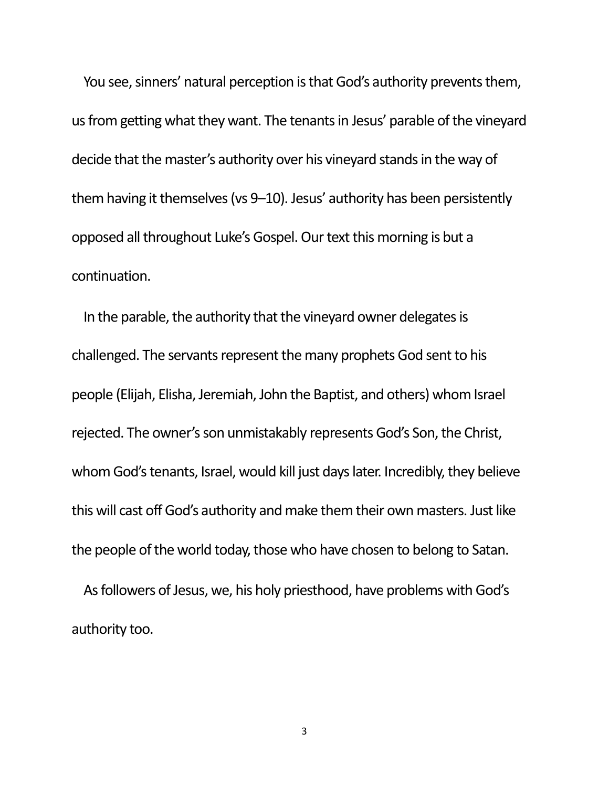You see, sinners' natural perception is that God's authority prevents them, us from getting what they want. The tenants in Jesus' parable of the vineyard decide that the master's authority over his vineyard stands in the way of them having it themselves (vs 9–10). Jesus' authority has been persistently opposed all throughout Luke's Gospel. Our text this morning is but a continuation.

In the parable, the authority that the vineyard owner delegates is challenged. The servants represent the many prophets God sent to his people (Elijah, Elisha, Jeremiah, John the Baptist, and others) whom Israel rejected. The owner's son unmistakably represents God's Son, the Christ, whom God's tenants, Israel, would kill just days later. Incredibly, they believe this will cast off God's authority and make them their own masters. Just like the people of the world today, those who have chosen to belong to Satan.

As followers of Jesus, we, his holy priesthood, have problems with God's authority too.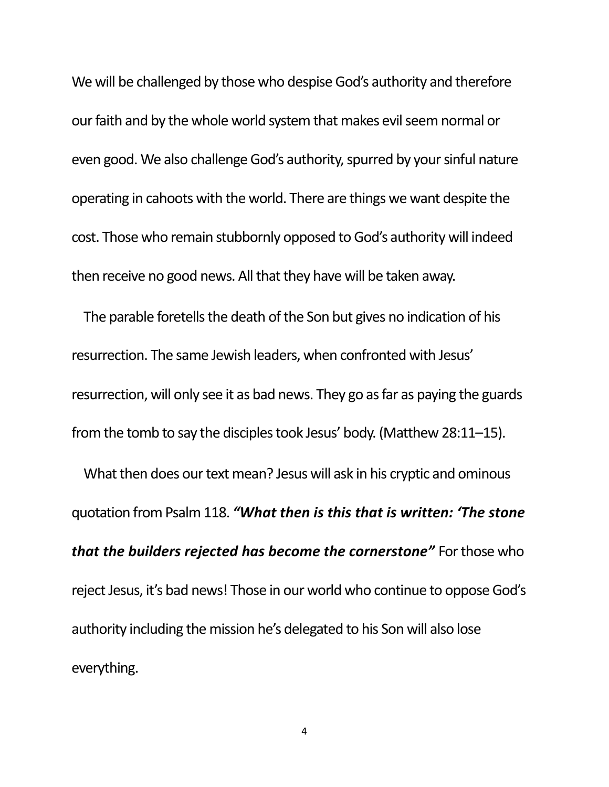We will be challenged by those who despise God's authority and therefore our faith and by the whole world system that makes evil seem normal or even good. We also challenge God's authority, spurred by your sinful nature operating in cahoots with the world. There are things we want despite the cost. Those who remain stubbornly opposed to God's authority will indeed then receive no good news. All that they have will be taken away.

The parable foretells the death of the Son but gives no indication of his resurrection. The same Jewish leaders, when confronted with Jesus' resurrection, will only see it as bad news. They go as far as paying the guards from the tomb to say the disciples took Jesus' body. (Matthew 28:11–15).

What then does our text mean? Jesus will ask in his cryptic and ominous quotation from Psalm 118. *"What then is this that is written: 'The stone that the builders rejected has become the cornerstone"* For those who reject Jesus, it's bad news! Those in our world who continue to oppose God's authority including the mission he's delegated to his Son will also lose everything.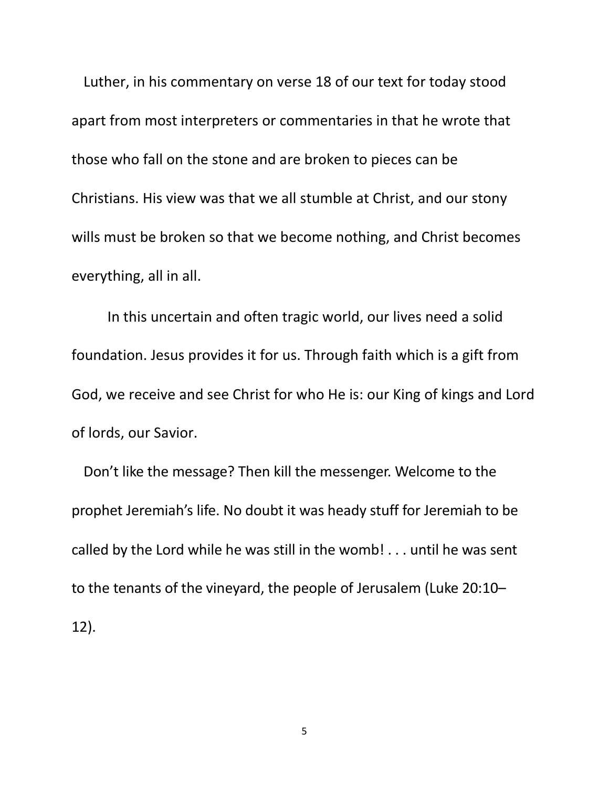Luther, in his commentary on verse 18 of our text for today stood apart from most interpreters or commentaries in that he wrote that those who fall on the stone and are broken to pieces can be Christians. His view was that we all stumble at Christ, and our stony wills must be broken so that we become nothing, and Christ becomes everything, all in all.

In this uncertain and often tragic world, our lives need a solid foundation. Jesus provides it for us. Through faith which is a gift from God, we receive and see Christ for who He is: our King of kings and Lord of lords, our Savior.

Don't like the message? Then kill the messenger. Welcome to the prophet Jeremiah's life. No doubt it was heady stuff for Jeremiah to be called by the Lord while he was still in the womb! . . . until he was sent to the tenants of the vineyard, the people of Jerusalem (Luke 20:10– 12).

5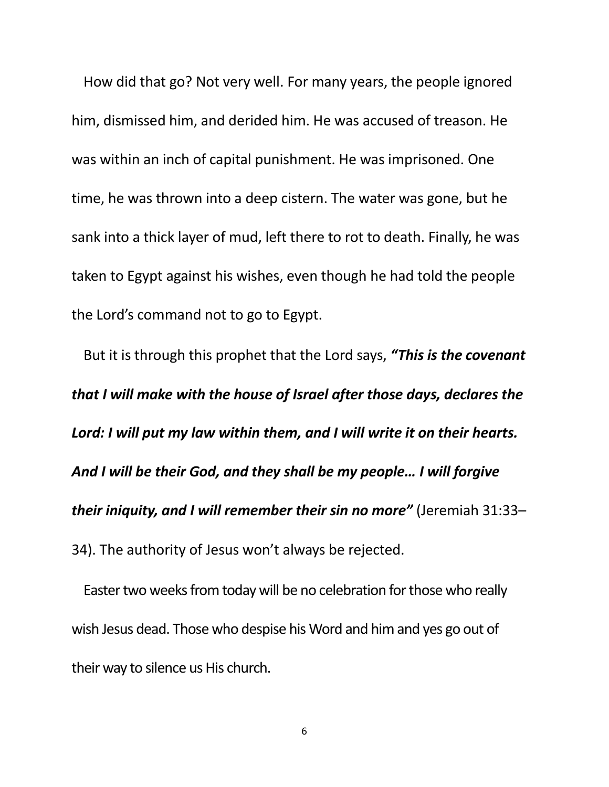How did that go? Not very well. For many years, the people ignored him, dismissed him, and derided him. He was accused of treason. He was within an inch of capital punishment. He was imprisoned. One time, he was thrown into a deep cistern. The water was gone, but he sank into a thick layer of mud, left there to rot to death. Finally, he was taken to Egypt against his wishes, even though he had told the people the Lord's command not to go to Egypt.

But it is through this prophet that the Lord says, *"This is the covenant that I will make with the house of Israel after those days, declares the Lord: I will put my law within them, and I will write it on their hearts. And I will be their God, and they shall be my people… I will forgive their iniquity, and I will remember their sin no more"* (Jeremiah 31:33– 34). The authority of Jesus won't always be rejected.

Easter two weeks from today will be no celebration for those who really wish Jesus dead. Those who despise his Word and him and yes go out of their way to silence us His church.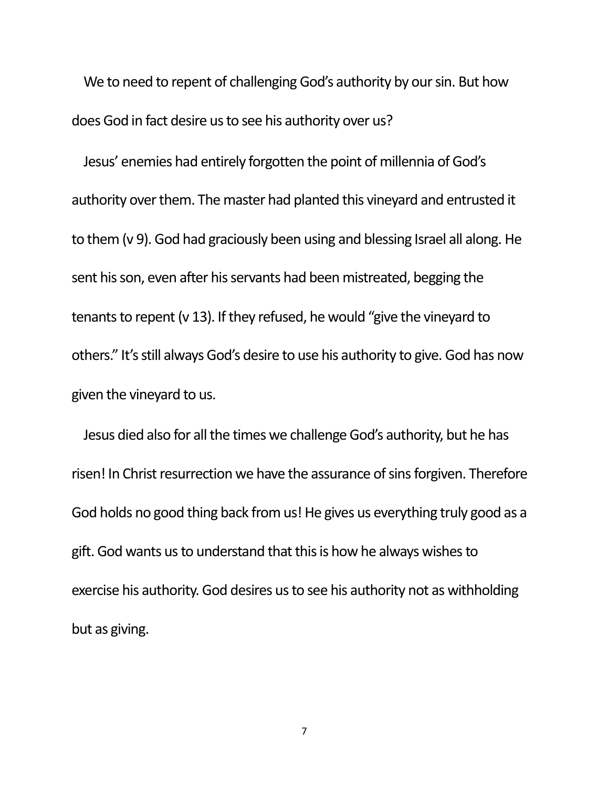We to need to repent of challenging God's authority by our sin. But how does God in fact desire us to see his authority over us?

Jesus' enemies had entirely forgotten the point of millennia of God's authority over them. The master had planted this vineyard and entrusted it to them (v 9). God had graciously been using and blessing Israel all along. He sent his son, even after his servants had been mistreated, begging the tenants to repent (v 13). If they refused, he would "give the vineyard to others." It's still always God's desire to use his authority to give. God has now given the vineyard to us.

Jesus died also for all the times we challenge God's authority, but he has risen! In Christ resurrection we have the assurance of sins forgiven. Therefore God holds no good thing back from us! He gives us everything truly good as a gift. God wants us to understand that this is how he always wishes to exercise his authority. God desires us to see his authority not as withholding but as giving.